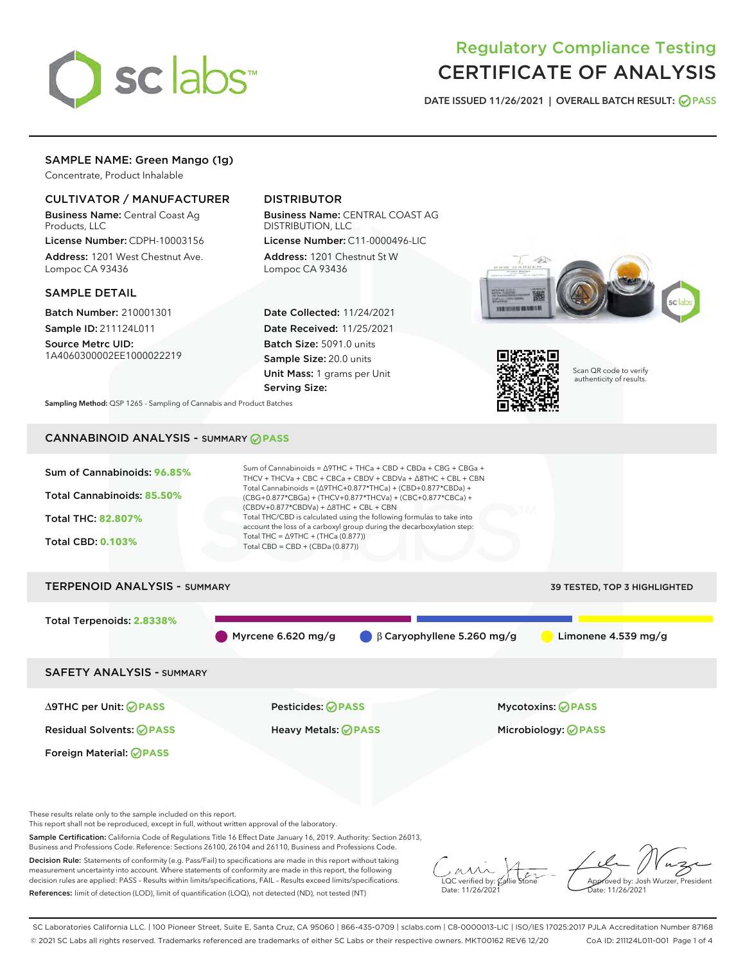

# Regulatory Compliance Testing CERTIFICATE OF ANALYSIS

DATE ISSUED 11/26/2021 | OVERALL BATCH RESULT: @ PASS

# SAMPLE NAME: Green Mango (1g)

Concentrate, Product Inhalable

# CULTIVATOR / MANUFACTURER

Business Name: Central Coast Ag Products, LLC

License Number: CDPH-10003156 Address: 1201 West Chestnut Ave. Lompoc CA 93436

## SAMPLE DETAIL

Batch Number: 210001301 Sample ID: 211124L011

Source Metrc UID: 1A4060300002EE1000022219

# DISTRIBUTOR

Business Name: CENTRAL COAST AG DISTRIBUTION, LLC License Number: C11-0000496-LIC

Address: 1201 Chestnut St W Lompoc CA 93436

Date Collected: 11/24/2021 Date Received: 11/25/2021 Batch Size: 5091.0 units Sample Size: 20.0 units Unit Mass: 1 grams per Unit Serving Size:





Scan QR code to verify authenticity of results.

Sampling Method: QSP 1265 - Sampling of Cannabis and Product Batches

# CANNABINOID ANALYSIS - SUMMARY **PASS**



This report shall not be reproduced, except in full, without written approval of the laboratory.

Sample Certification: California Code of Regulations Title 16 Effect Date January 16, 2019. Authority: Section 26013, Business and Professions Code. Reference: Sections 26100, 26104 and 26110, Business and Professions Code.

Decision Rule: Statements of conformity (e.g. Pass/Fail) to specifications are made in this report without taking measurement uncertainty into account. Where statements of conformity are made in this report, the following decision rules are applied: PASS – Results within limits/specifications, FAIL – Results exceed limits/specifications. References: limit of detection (LOD), limit of quantification (LOQ), not detected (ND), not tested (NT)

 $\overline{\text{C}}$  verified by:  $\mathcal C$ Date: 11/26/202<sup>1</sup>

Aved by: Josh Wurzer, President Date: 11/26/2021

SC Laboratories California LLC. | 100 Pioneer Street, Suite E, Santa Cruz, CA 95060 | 866-435-0709 | sclabs.com | C8-0000013-LIC | ISO/IES 17025:2017 PJLA Accreditation Number 87168 © 2021 SC Labs all rights reserved. Trademarks referenced are trademarks of either SC Labs or their respective owners. MKT00162 REV6 12/20 CoA ID: 211124L011-001 Page 1 of 4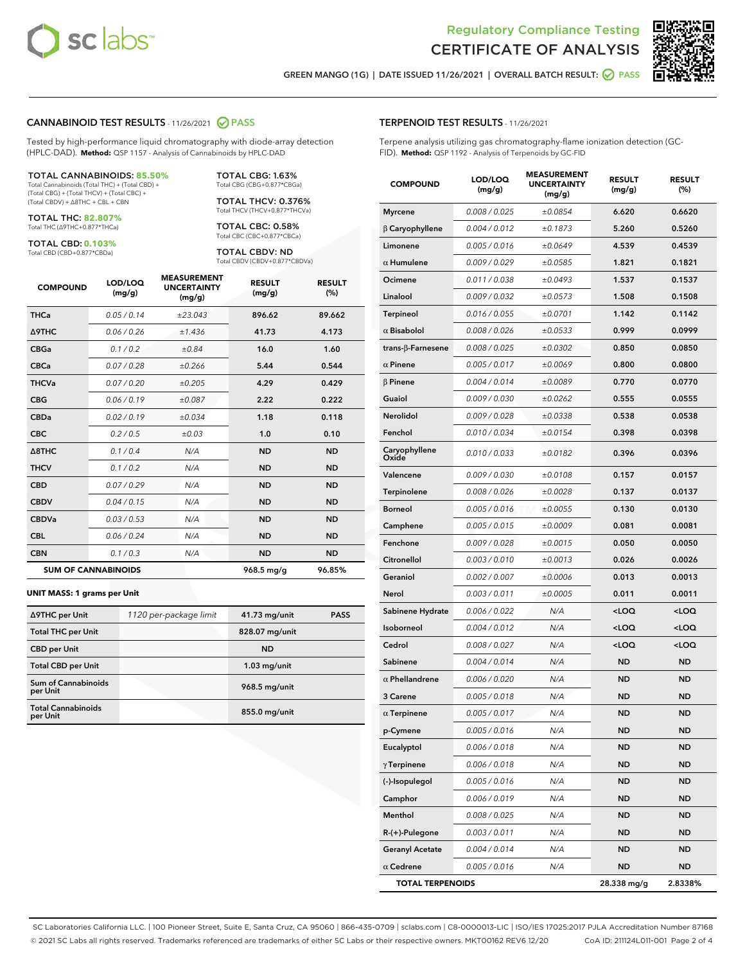

Terpene analysis utilizing gas chromatography-flame ionization detection (GC-



GREEN MANGO (1G) | DATE ISSUED 11/26/2021 | OVERALL BATCH RESULT: @ PASS

TERPENOID TEST RESULTS - 11/26/2021

FID). **Method:** QSP 1192 - Analysis of Terpenoids by GC-FID

## CANNABINOID TEST RESULTS - 11/26/2021 2 PASS

Tested by high-performance liquid chromatography with diode-array detection (HPLC-DAD). **Method:** QSP 1157 - Analysis of Cannabinoids by HPLC-DAD

#### TOTAL CANNABINOIDS: **85.50%**

Total Cannabinoids (Total THC) + (Total CBD) + (Total CBG) + (Total THCV) + (Total CBC) + (Total CBDV) + ∆8THC + CBL + CBN

TOTAL THC: **82.807%** Total THC (∆9THC+0.877\*THCa)

TOTAL CBD: **0.103%**

Total CBD (CBD+0.877\*CBDa)

TOTAL CBG: 1.63% Total CBG (CBG+0.877\*CBGa)

TOTAL THCV: 0.376% Total THCV (THCV+0.877\*THCVa)

TOTAL CBC: 0.58% Total CBC (CBC+0.877\*CBCa)

TOTAL CBDV: ND Total CBDV (CBDV+0.877\*CBDVa)

| <b>COMPOUND</b>            | LOD/LOQ<br>(mg/g) | <b>MEASUREMENT</b><br><b>UNCERTAINTY</b><br>(mg/g) | <b>RESULT</b><br>(mg/g) | <b>RESULT</b><br>(%) |
|----------------------------|-------------------|----------------------------------------------------|-------------------------|----------------------|
| <b>THCa</b>                | 0.05/0.14         | ±23.043                                            | 896.62                  | 89.662               |
| <b>A9THC</b>               | 0.06 / 0.26       | ±1.436                                             | 41.73                   | 4.173                |
| <b>CBGa</b>                | 0.1/0.2           | ±0.84                                              | 16.0                    | 1.60                 |
| <b>CBCa</b>                | 0.07/0.28         | ±0.266                                             | 5.44                    | 0.544                |
| <b>THCVa</b>               | 0.07 / 0.20       | ±0.205                                             | 4.29                    | 0.429                |
| <b>CBG</b>                 | 0.06/0.19         | ±0.087                                             | 2.22                    | 0.222                |
| <b>CBDa</b>                | 0.02/0.19         | ±0.034                                             | 1.18                    | 0.118                |
| <b>CBC</b>                 | 0.2 / 0.5         | ±0.03                                              | 1.0                     | 0.10                 |
| $\triangle$ 8THC           | 0.1 / 0.4         | N/A                                                | <b>ND</b>               | <b>ND</b>            |
| <b>THCV</b>                | 0.1 / 0.2         | N/A                                                | <b>ND</b>               | <b>ND</b>            |
| <b>CBD</b>                 | 0.07/0.29         | N/A                                                | <b>ND</b>               | <b>ND</b>            |
| <b>CBDV</b>                | 0.04 / 0.15       | N/A                                                | <b>ND</b>               | <b>ND</b>            |
| <b>CBDVa</b>               | 0.03/0.53         | N/A                                                | <b>ND</b>               | <b>ND</b>            |
| <b>CBL</b>                 | 0.06 / 0.24       | N/A                                                | <b>ND</b>               | <b>ND</b>            |
| <b>CBN</b>                 | 0.1/0.3           | N/A                                                | <b>ND</b>               | <b>ND</b>            |
| <b>SUM OF CANNABINOIDS</b> |                   |                                                    | 968.5 mg/g              | 96.85%               |

#### **UNIT MASS: 1 grams per Unit**

| ∆9THC per Unit                        | 1120 per-package limit | 41.73 mg/unit   | <b>PASS</b> |
|---------------------------------------|------------------------|-----------------|-------------|
| <b>Total THC per Unit</b>             |                        | 828.07 mg/unit  |             |
| <b>CBD</b> per Unit                   |                        | <b>ND</b>       |             |
| <b>Total CBD per Unit</b>             |                        | $1.03$ mg/unit  |             |
| Sum of Cannabinoids<br>per Unit       |                        | 968.5 mg/unit   |             |
| <b>Total Cannabinoids</b><br>per Unit |                        | $855.0$ mg/unit |             |

| <b>COMPOUND</b>        | LOD/LOQ<br>(mg/g) | <b>MEASUREMENT</b><br><b>UNCERTAINTY</b><br>(mg/g) | <b>RESULT</b><br>(mg/g)                         | <b>RESULT</b><br>$(\%)$ |
|------------------------|-------------------|----------------------------------------------------|-------------------------------------------------|-------------------------|
| <b>Myrcene</b>         | 0.008 / 0.025     | ±0.0854                                            | 6.620                                           | 0.6620                  |
| $\beta$ Caryophyllene  | 0.004 / 0.012     | ±0.1873                                            | 5.260                                           | 0.5260                  |
| Limonene               | 0.005 / 0.016     | ±0.0649                                            | 4.539                                           | 0.4539                  |
| $\alpha$ Humulene      | 0.009 / 0.029     | ±0.0585                                            | 1.821                                           | 0.1821                  |
| Ocimene                | 0.011 / 0.038     | ±0.0493                                            | 1.537                                           | 0.1537                  |
| Linalool               | 0.009 / 0.032     | ±0.0573                                            | 1.508                                           | 0.1508                  |
| Terpineol              | 0.016 / 0.055     | ±0.0701                                            | 1.142                                           | 0.1142                  |
| $\alpha$ Bisabolol     | 0.008 / 0.026     | ±0.0533                                            | 0.999                                           | 0.0999                  |
| trans-β-Farnesene      | 0.008 / 0.025     | ±0.0302                                            | 0.850                                           | 0.0850                  |
| $\alpha$ Pinene        | 0.005 / 0.017     | ±0.0069                                            | 0.800                                           | 0.0800                  |
| $\beta$ Pinene         | 0.004 / 0.014     | ±0.0089                                            | 0.770                                           | 0.0770                  |
| Guaiol                 | 0.009 / 0.030     | ±0.0262                                            | 0.555                                           | 0.0555                  |
| <b>Nerolidol</b>       | 0.009 / 0.028     | ±0.0338                                            | 0.538                                           | 0.0538                  |
| Fenchol                | 0.010 / 0.034     | ±0.0154                                            | 0.398                                           | 0.0398                  |
| Caryophyllene<br>Oxide | 0.010 / 0.033     | ±0.0182                                            | 0.396                                           | 0.0396                  |
| Valencene              | 0.009 / 0.030     | ±0.0108                                            | 0.157                                           | 0.0157                  |
| Terpinolene            | 0.008 / 0.026     | ±0.0028                                            | 0.137                                           | 0.0137                  |
| <b>Borneol</b>         | 0.005 / 0.016     | ±0.0055                                            | 0.130                                           | 0.0130                  |
| Camphene               | 0.005 / 0.015     | ±0.0009                                            | 0.081                                           | 0.0081                  |
| Fenchone               | 0.009 / 0.028     | ±0.0015                                            | 0.050                                           | 0.0050                  |
| Citronellol            | 0.003 / 0.010     | ±0.0013                                            | 0.026                                           | 0.0026                  |
| Geraniol               | 0.002 / 0.007     | ±0.0006                                            | 0.013                                           | 0.0013                  |
| Nerol                  | 0.003 / 0.011     | ±0.0005                                            | 0.011                                           | 0.0011                  |
| Sabinene Hydrate       | 0.006 / 0.022     | N/A                                                | <loq< td=""><td><loq< td=""></loq<></td></loq<> | <loq< td=""></loq<>     |
| Isoborneol             | 0.004 / 0.012     | N/A                                                | <loq< td=""><td><loq< td=""></loq<></td></loq<> | <loq< td=""></loq<>     |
| Cedrol                 | 0.008 / 0.027     | N/A                                                | <loq< td=""><td><loq< td=""></loq<></td></loq<> | <loq< td=""></loq<>     |
| Sabinene               | 0.004 / 0.014     | N/A                                                | <b>ND</b>                                       | ND                      |
| $\alpha$ Phellandrene  | 0.006 / 0.020     | N/A                                                | <b>ND</b>                                       | ND                      |
| 3 Carene               | 0.005 / 0.018     | N/A                                                | ND                                              | <b>ND</b>               |
| $\alpha$ Terpinene     | 0.005 / 0.017     | N/A                                                | ND                                              | <b>ND</b>               |
| p-Cymene               | 0.005 / 0.016     | N/A                                                | <b>ND</b>                                       | ND                      |
| Eucalyptol             | 0.006 / 0.018     | N/A                                                | ND                                              | <b>ND</b>               |
| $\gamma$ Terpinene     | 0.006 / 0.018     | N/A                                                | ND                                              | ND                      |
| (-)-Isopulegol         | 0.005 / 0.016     | N/A                                                | ND                                              | ND                      |
| Camphor                | 0.006 / 0.019     | N/A                                                | ND                                              | <b>ND</b>               |
| Menthol                | 0.008 / 0.025     | N/A                                                | ND                                              | ND                      |

R-(+)-Pulegone 0.003 / 0.011 N/A ND ND Geranyl Acetate  $0.004 / 0.014$  N/A ND ND  $\alpha$  Cedrene  $0.005 / 0.016$   $N/A$  ND ND TOTAL TERPENOIDS 28.338 mg/g 2.8338%

SC Laboratories California LLC. | 100 Pioneer Street, Suite E, Santa Cruz, CA 95060 | 866-435-0709 | sclabs.com | C8-0000013-LIC | ISO/IES 17025:2017 PJLA Accreditation Number 87168 © 2021 SC Labs all rights reserved. Trademarks referenced are trademarks of either SC Labs or their respective owners. MKT00162 REV6 12/20 CoA ID: 211124L011-001 Page 2 of 4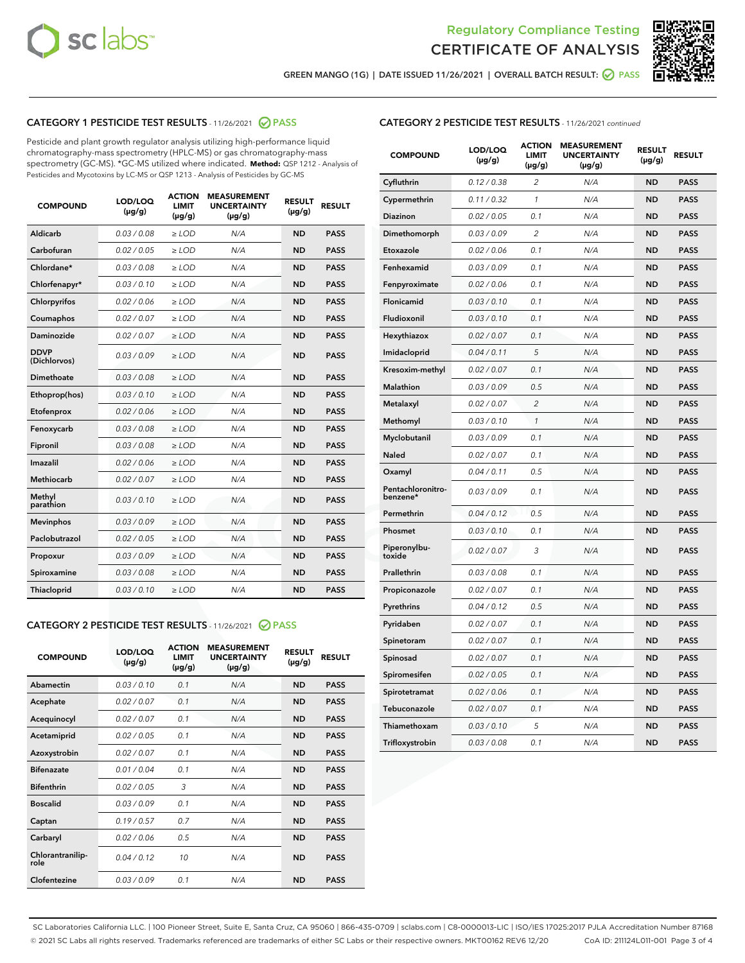



GREEN MANGO (1G) | DATE ISSUED 11/26/2021 | OVERALL BATCH RESULT:  $\bigcirc$  PASS

# CATEGORY 1 PESTICIDE TEST RESULTS - 11/26/2021 2 PASS

Pesticide and plant growth regulator analysis utilizing high-performance liquid chromatography-mass spectrometry (HPLC-MS) or gas chromatography-mass spectrometry (GC-MS). \*GC-MS utilized where indicated. **Method:** QSP 1212 - Analysis of Pesticides and Mycotoxins by LC-MS or QSP 1213 - Analysis of Pesticides by GC-MS

| <b>COMPOUND</b>             | LOD/LOQ<br>$(\mu g/g)$ | <b>ACTION</b><br><b>LIMIT</b><br>$(\mu g/g)$ | <b>MEASUREMENT</b><br><b>UNCERTAINTY</b><br>$(\mu g/g)$ | <b>RESULT</b><br>$(\mu g/g)$ | <b>RESULT</b> |
|-----------------------------|------------------------|----------------------------------------------|---------------------------------------------------------|------------------------------|---------------|
| Aldicarb                    | 0.03 / 0.08            | $\ge$ LOD                                    | N/A                                                     | <b>ND</b>                    | <b>PASS</b>   |
| Carbofuran                  | 0.02 / 0.05            | $\ge$ LOD                                    | N/A                                                     | <b>ND</b>                    | <b>PASS</b>   |
| Chlordane*                  | 0.03 / 0.08            | $\ge$ LOD                                    | N/A                                                     | <b>ND</b>                    | <b>PASS</b>   |
| Chlorfenapyr*               | 0.03/0.10              | $\ge$ LOD                                    | N/A                                                     | <b>ND</b>                    | <b>PASS</b>   |
| Chlorpyrifos                | 0.02 / 0.06            | $\ge$ LOD                                    | N/A                                                     | <b>ND</b>                    | <b>PASS</b>   |
| Coumaphos                   | 0.02 / 0.07            | $\ge$ LOD                                    | N/A                                                     | <b>ND</b>                    | <b>PASS</b>   |
| Daminozide                  | 0.02 / 0.07            | $\ge$ LOD                                    | N/A                                                     | <b>ND</b>                    | <b>PASS</b>   |
| <b>DDVP</b><br>(Dichlorvos) | 0.03/0.09              | $>$ LOD                                      | N/A                                                     | <b>ND</b>                    | <b>PASS</b>   |
| Dimethoate                  | 0.03 / 0.08            | $\ge$ LOD                                    | N/A                                                     | <b>ND</b>                    | <b>PASS</b>   |
| Ethoprop(hos)               | 0.03/0.10              | $>$ LOD                                      | N/A                                                     | <b>ND</b>                    | <b>PASS</b>   |
| Etofenprox                  | 0.02 / 0.06            | $\ge$ LOD                                    | N/A                                                     | <b>ND</b>                    | <b>PASS</b>   |
| Fenoxycarb                  | 0.03 / 0.08            | $\ge$ LOD                                    | N/A                                                     | <b>ND</b>                    | <b>PASS</b>   |
| Fipronil                    | 0.03 / 0.08            | $\ge$ LOD                                    | N/A                                                     | <b>ND</b>                    | <b>PASS</b>   |
| Imazalil                    | 0.02 / 0.06            | $>$ LOD                                      | N/A                                                     | <b>ND</b>                    | <b>PASS</b>   |
| <b>Methiocarb</b>           | 0.02 / 0.07            | $\ge$ LOD                                    | N/A                                                     | <b>ND</b>                    | <b>PASS</b>   |
| Methyl<br>parathion         | 0.03/0.10              | $\ge$ LOD                                    | N/A                                                     | <b>ND</b>                    | <b>PASS</b>   |
| <b>Mevinphos</b>            | 0.03/0.09              | $\ge$ LOD                                    | N/A                                                     | <b>ND</b>                    | <b>PASS</b>   |
| Paclobutrazol               | 0.02 / 0.05            | $>$ LOD                                      | N/A                                                     | <b>ND</b>                    | <b>PASS</b>   |
| Propoxur                    | 0.03/0.09              | $\ge$ LOD                                    | N/A                                                     | <b>ND</b>                    | <b>PASS</b>   |
| Spiroxamine                 | 0.03 / 0.08            | $\ge$ LOD                                    | N/A                                                     | <b>ND</b>                    | <b>PASS</b>   |
| Thiacloprid                 | 0.03/0.10              | $\ge$ LOD                                    | N/A                                                     | <b>ND</b>                    | <b>PASS</b>   |

# CATEGORY 2 PESTICIDE TEST RESULTS - 11/26/2021 @ PASS

| <b>COMPOUND</b>          | LOD/LOO<br>$(\mu g/g)$ | <b>ACTION</b><br>LIMIT<br>$(\mu g/g)$ | <b>MEASUREMENT</b><br><b>UNCERTAINTY</b><br>$(\mu g/g)$ | <b>RESULT</b><br>$(\mu g/g)$ | <b>RESULT</b> |  |
|--------------------------|------------------------|---------------------------------------|---------------------------------------------------------|------------------------------|---------------|--|
| Abamectin                | 0.03/0.10              | 0.1                                   | N/A                                                     | <b>ND</b>                    | <b>PASS</b>   |  |
| Acephate                 | 0.02/0.07              | 0.1                                   | N/A                                                     | <b>ND</b>                    | <b>PASS</b>   |  |
| Acequinocyl              | 0.02/0.07              | 0.1                                   | N/A                                                     | <b>ND</b>                    | <b>PASS</b>   |  |
| Acetamiprid              | 0.02 / 0.05            | 0.1                                   | N/A                                                     | <b>ND</b>                    | <b>PASS</b>   |  |
| Azoxystrobin             | 0.02/0.07              | 0.1                                   | N/A                                                     | <b>ND</b>                    | <b>PASS</b>   |  |
| <b>Bifenazate</b>        | 0.01 / 0.04            | 0.1                                   | N/A                                                     | <b>ND</b>                    | <b>PASS</b>   |  |
| <b>Bifenthrin</b>        | 0.02/0.05              | 3                                     | N/A                                                     | <b>ND</b>                    | <b>PASS</b>   |  |
| <b>Boscalid</b>          | 0.03/0.09              | 0.1                                   | N/A                                                     | <b>ND</b>                    | <b>PASS</b>   |  |
| Captan                   | 0.19/0.57              | 0.7                                   | N/A                                                     | <b>ND</b>                    | <b>PASS</b>   |  |
| Carbaryl                 | 0.02/0.06              | 0.5                                   | N/A                                                     | <b>ND</b>                    | <b>PASS</b>   |  |
| Chlorantranilip-<br>role | 0.04/0.12              | 10                                    | N/A                                                     | <b>ND</b>                    | <b>PASS</b>   |  |
| Clofentezine             | 0.03/0.09              | 0.1                                   | N/A                                                     | <b>ND</b>                    | <b>PASS</b>   |  |

| <b>CATEGORY 2 PESTICIDE TEST RESULTS</b> - 11/26/2021 continued |  |  |
|-----------------------------------------------------------------|--|--|
|                                                                 |  |  |

| <b>COMPOUND</b>               | LOD/LOQ<br>(µg/g) | <b>ACTION</b><br>LIMIT<br>$(\mu g/g)$ | <b>MEASUREMENT</b><br><b>UNCERTAINTY</b><br>$(\mu g/g)$ | <b>RESULT</b><br>(µg/g) | <b>RESULT</b> |
|-------------------------------|-------------------|---------------------------------------|---------------------------------------------------------|-------------------------|---------------|
| Cyfluthrin                    | 0.12 / 0.38       | 2                                     | N/A                                                     | ND                      | <b>PASS</b>   |
| Cypermethrin                  | 0.11 / 0.32       | 1                                     | N/A                                                     | ND                      | <b>PASS</b>   |
| Diazinon                      | 0.02 / 0.05       | 0.1                                   | N/A                                                     | ND                      | <b>PASS</b>   |
| Dimethomorph                  | 0.03 / 0.09       | 2                                     | N/A                                                     | ND                      | <b>PASS</b>   |
| Etoxazole                     | 0.02 / 0.06       | 0.1                                   | N/A                                                     | ND                      | <b>PASS</b>   |
| Fenhexamid                    | 0.03 / 0.09       | 0.1                                   | N/A                                                     | ND                      | <b>PASS</b>   |
| Fenpyroximate                 | 0.02 / 0.06       | 0.1                                   | N/A                                                     | <b>ND</b>               | <b>PASS</b>   |
| Flonicamid                    | 0.03 / 0.10       | 0.1                                   | N/A                                                     | <b>ND</b>               | <b>PASS</b>   |
| Fludioxonil                   | 0.03 / 0.10       | 0.1                                   | N/A                                                     | ND                      | <b>PASS</b>   |
| Hexythiazox                   | 0.02 / 0.07       | 0.1                                   | N/A                                                     | <b>ND</b>               | <b>PASS</b>   |
| Imidacloprid                  | 0.04 / 0.11       | 5                                     | N/A                                                     | ND                      | <b>PASS</b>   |
| Kresoxim-methyl               | 0.02 / 0.07       | 0.1                                   | N/A                                                     | ND                      | <b>PASS</b>   |
| Malathion                     | 0.03 / 0.09       | 0.5                                   | N/A                                                     | <b>ND</b>               | <b>PASS</b>   |
| Metalaxyl                     | 0.02 / 0.07       | $\overline{2}$                        | N/A                                                     | <b>ND</b>               | <b>PASS</b>   |
| Methomyl                      | 0.03 / 0.10       | $\mathcal{I}$                         | N/A                                                     | ND                      | <b>PASS</b>   |
| Myclobutanil                  | 0.03 / 0.09       | 0.1                                   | N/A                                                     | <b>ND</b>               | <b>PASS</b>   |
| <b>Naled</b>                  | 0.02 / 0.07       | 0.1                                   | N/A                                                     | ND                      | <b>PASS</b>   |
| Oxamyl                        | 0.04 / 0.11       | 0.5                                   | N/A                                                     | ND                      | <b>PASS</b>   |
| Pentachloronitro-<br>benzene* | 0.03 / 0.09       | 0.1                                   | N/A                                                     | ND                      | <b>PASS</b>   |
| Permethrin                    | 0.04 / 0.12       | 0.5                                   | N/A                                                     | ND                      | <b>PASS</b>   |
| Phosmet                       | 0.03 / 0.10       | 0.1                                   | N/A                                                     | ND                      | <b>PASS</b>   |
| Piperonylbu-<br>toxide        | 0.02 / 0.07       | 3                                     | N/A                                                     | <b>ND</b>               | <b>PASS</b>   |
| Prallethrin                   | 0.03 / 0.08       | 0.1                                   | N/A                                                     | ND                      | <b>PASS</b>   |
| Propiconazole                 | 0.02 / 0.07       | 0.1                                   | N/A                                                     | <b>ND</b>               | <b>PASS</b>   |
| Pyrethrins                    | 0.04 / 0.12       | 0.5                                   | N/A                                                     | <b>ND</b>               | <b>PASS</b>   |
| Pyridaben                     | 0.02 / 0.07       | 0.1                                   | N/A                                                     | ND                      | <b>PASS</b>   |
| Spinetoram                    | 0.02 / 0.07       | 0.1                                   | N/A                                                     | ND                      | <b>PASS</b>   |
| Spinosad                      | 0.02 / 0.07       | 0.1                                   | N/A                                                     | ND                      | <b>PASS</b>   |
| Spiromesifen                  | 0.02 / 0.05       | 0.1                                   | N/A                                                     | ND                      | <b>PASS</b>   |
| Spirotetramat                 | 0.02 / 0.06       | 0.1                                   | N/A                                                     | <b>ND</b>               | <b>PASS</b>   |
| Tebuconazole                  | 0.02 / 0.07       | 0.1                                   | N/A                                                     | ND                      | <b>PASS</b>   |
| Thiamethoxam                  | 0.03 / 0.10       | 5                                     | N/A                                                     | ND                      | <b>PASS</b>   |
| Trifloxystrobin               | 0.03 / 0.08       | 0.1                                   | N/A                                                     | ND                      | <b>PASS</b>   |

SC Laboratories California LLC. | 100 Pioneer Street, Suite E, Santa Cruz, CA 95060 | 866-435-0709 | sclabs.com | C8-0000013-LIC | ISO/IES 17025:2017 PJLA Accreditation Number 87168 © 2021 SC Labs all rights reserved. Trademarks referenced are trademarks of either SC Labs or their respective owners. MKT00162 REV6 12/20 CoA ID: 211124L011-001 Page 3 of 4